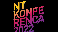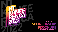

# **27th NT CONFERENCE** SPONSORSHIP BROCHURE PORTOROŽ, 26. - 28. SEPTEMBER 2022

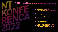



**Place of networking and numerous business opportunities**



**New ideas on the latest guidelines, best practices and upcoming business models**



**Meeting point of leading representatives and experts in your filed** 



**The most suitable environment for effective networking, business meetings and relaxed gathering with your partners**







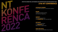

## **EFFECTIVE CONNECTING, NETWORKING AND OPPORTUNITIES FOR NEW BUSINESS DEALS 27th NT CONFERENCE**

#### INTRODUCE YOURSELF

to the widest Slovenian IT and business audience

#### ENSURE

visibility with flexible branding and interactive happening

#### CONNECT

with your potential clients and **STREIGHTEN** many new sales leadsi

#### USTVARITE

nove poslovne povezave in si ZGRADITE bazo kakovostnih prodajnih stikov

#### MAKE NEW DEALS

and increase the profitability of your business

![](_page_3_Picture_12.jpeg)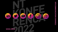![](_page_4_Figure_3.jpeg)

![](_page_4_Picture_0.jpeg)

# **<www.ntk.si>**

![](_page_4_Picture_2.jpeg)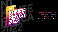**Be innovative, dare to stand out and leave an impression!**

![](_page_5_Picture_3.jpeg)

![](_page_5_Picture_0.jpeg)

# **27th NT CONFERENCE YOUR BUSINESS OPPORTUNITY**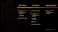**Regular part of the conference TECHNOLOGICAL SESSIONS**

![](_page_6_Picture_2.jpeg)

![](_page_6_Figure_0.jpeg)

![](_page_6_Picture_1.jpeg)

**NTK Business Day** 

 **Regular part of the conference TECHNOLOGICAL SESSIONS**

**BUSINESS SESSIONS** 

#### **PEER2PIR**

**Evening gathering** 

**\*We reserve the right to make changes.**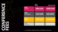|                                             | <b>FIRST</b><br>50 FEES | <b>REGULAR PRICE</b> |
|---------------------------------------------|-------------------------|----------------------|
| <b>NTK</b><br><b>FULL FEE</b>               | <b>990 EUR</b>          | <b>1090 EUR</b>      |
| <b>NTK</b><br><b>NETWORKING</b>             | <b>550 EUR</b>          | <b>650 EUR</b>       |
| <b>NTK</b><br><b>BUSINESS</b><br><b>DAY</b> | <b>390 EUR</b>          | <b>530 EUR</b>       |
| NTK<br><b>EXHIBITOR*</b>                    | 200 EUR                 | <b>300 EUR</b>       |

![](_page_7_Figure_0.jpeg)

**Each exhibitor is entitled to purchase one NTK Exhibitor conference fee.**

![](_page_7_Picture_3.jpeg)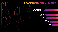![](_page_8_Figure_0.jpeg)

# NT CONFERENCE IN NUMBERS

![](_page_8_Picture_2.jpeg)

140+ **Sessions** 

> 130+ **Speakers**

![](_page_8_Picture_5.jpeg)

**Journalists** 

![](_page_8_Picture_7.jpeg)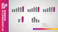![](_page_9_Picture_0.jpeg)

**RENER**  $\frac{1}{2}$ 

![](_page_9_Picture_2.jpeg)

Overall satisfaction rating (1-5)

![](_page_9_Figure_4.jpeg)

I believe that the NT Conference is a good investment

![](_page_9_Picture_6.jpeg)

The NT Conference is the main IT event in Slovenia (1-5)

![](_page_9_Picture_8.jpeg)

I will attend the NT Conference in the future as well (1-5)

![](_page_9_Figure_10.jpeg)

I decided to attend the NT Conference

- Due to content
- To meet colleagues from  $\overline{2}$ . other companies
- Since I'm looking for new solutions  $3.$ to existing business processes
- Because of doing business 4.

![](_page_9_Picture_17.jpeg)

![](_page_9_Picture_18.jpeg)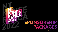![](_page_10_Picture_0.jpeg)

# **SPONSORSHIP PACKAGES**

**\*All prices are without VAT.**

![](_page_10_Picture_3.jpeg)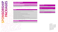#### GENERAL SPONSORSHIP

**Price open for discussion**

#### **CREATING BUSINESS OPPORTUNITIES GENERAL DIGIT**

Active collecting of business contacts at the conference (NTcoin) Short presentation of the partner Exhibition stand – premium position NTK newsletter, NTK newsletter, NTK social media by agreement

**SPONSORSHIP ASSESS** 

**PACKAGES** 

Opening speech of the company representative at the main opening ceremony and the main opening ceremony content promotion Possibility of company cooperation at the promotional part of the evening gathering **Figure 2016** (NTK newsletter, NTK social media by agreement) Session at the NT Conference **Session promotion**\*

3x publication of the desired content via NTK communication channels

(blog, webinar, case study, interview or other content by agreement)

**VISIBILITY Publication of content at www.ntk.si** 

![](_page_11_Picture_27.jpeg)

![](_page_11_Picture_28.jpeg)

![](_page_11_Picture_29.jpeg)

Branding of the conference hall and the space in front of it NTK newsletter, NTK social media by agreement Promotional SMS, sent to the NTK mobile number database Company logo at www.ntk.si (with hyperlink to company's webpage) Company logo in the NTK newsletter

Company logo on the NTK printed materials

Company logo on the NTK sponsorship billboard at the conference Company logo on the NTK presentation screen in front of conference halls (during the breaks) Insertion of POS material in the conference bags

#### **CONFERENCE FEES**

Pre-arranged number of NTK Full Fees

2x NTK Exhibitor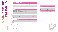# **SPONSORSHIP ASSESS PACKAGES**

#### GOLDEN SPONSORSHIP

**10.000 EUR**

#### **CREATING BUSINESS OPPORTUNITIES GOLDEN DIGIT**

Active collecting of business contacts at the conference (NTcoin) 3x publication of the desired content via NTK communication

Branding of the conference hall and the space in front of it NTK newsletter, NTK social media by agreement

channels

(blog, webinar, case study, interview or other content by agreement)

| <b>CREATING BUSINESS OPPORTUNITIES</b>                                                           | <b>GOLDEN DIGIT</b>                                                                                 |
|--------------------------------------------------------------------------------------------------|-----------------------------------------------------------------------------------------------------|
| Active collecting of business contacts at the conference (NTcoin)                                | 3x publication of the desired content<br>channels<br>(blog, webinar, case study, interview or other |
| Exhibition stand - XL                                                                            | Publication of content at www.ntk.si                                                                |
|                                                                                                  | Content promotion                                                                                   |
| <b>VISIBILITY</b>                                                                                | (NTK newsletter, NTK social media by                                                                |
| Session at the NT Conference                                                                     | Session promotion*                                                                                  |
| Branding of the conference hall and the space in front of it                                     | NTK newsletter, NTK social media by                                                                 |
| Promotional SMS, sent to the NTK mobile number database                                          |                                                                                                     |
| Company logo at www.ntk.si (with hyperlink to company's webpage)                                 |                                                                                                     |
| Company logo in the NTK newsletter                                                               |                                                                                                     |
| Company logo on the NTK printed materials                                                        |                                                                                                     |
| Company logo on the NTK sponsorship billboard at the conference                                  |                                                                                                     |
| Company logo on the NTK presentation screen in front of the conference halls (during the breaks) |                                                                                                     |
| Incortion of $DOS$ material in the conference hage                                               |                                                                                                     |

![](_page_12_Picture_19.jpeg)

**VISIBILITY** (NTK newsletter, NTK social media by agreement)

![](_page_12_Picture_28.jpeg)

![](_page_12_Picture_29.jpeg)

![](_page_12_Figure_30.jpeg)

Insertion of POS material in the conference bags

#### **CONFERENCE FEES**

2x NTK Full Fee 2x NTK Exhibitor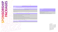#### SILVER SPONSORSHIP

# **6.000 EUR SPONSORSHIP ASSESS PACKAGES**

#### **CREATING BUSINESS OPPORTUNITIES SILVER DIGIT**

Active collecting of business contacts at the conference (NTcoin) and a set of the desired content via NTK communication channels (blog, webinar, case study, interview or other content by agreement) Exhibition stand – L Publication of content at www.ntk.si Content promotion

**VISIBILITY** (NTK newsletter, NTK social media by agreement)

![](_page_13_Picture_21.jpeg)

![](_page_13_Picture_22.jpeg)

![](_page_13_Picture_23.jpeg)

Company logo at www.ntk.si (with hyperlink to company's webpage)

Company logo in the NTK newsletter

Company logo on the NTK printed materials

Company logo on the NTK sponsorship billboard at the conference

Company logo on the NTK presentation screen in front of the conference halls (during the breaks)

Insertion of POS material in the conference bags

#### **CONFERENCE FEES**

2x NTK Exhibitor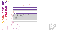#### BASIC PACKAGE

**4.000 EUR**

#### **CREATING BUSINESS OPPORTUNITIES**

Possibility of roll-up

#### **VISIBILITY**

Company logo at www.ntk.si (with hyperlink to company's webpage)

Company logo in the NTK newsletter

Company logo on the NTK printed materials

Company logo on the NTK sponsorship billboard at the conference

Company logo on the NTK presentation screen in front of the conference halls (during the breaks)

Insertion of POS material in the conference bags

#### **CONFERENCE FEES**

1x NTK Networking

![](_page_14_Picture_14.jpeg)

![](_page_14_Picture_16.jpeg)

![](_page_14_Figure_0.jpeg)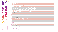#### DIGIT PACKAGE

**5.000 EUR**

**NTK communication channels** 

Company logo at www.ntk.si (with hyperlink to company's web Company logo in the NTK newsletter

By agreement

**SPONSORSHIP ASSESS** 

R

**PACKAGES** 

#### **VISIBILITY**

Company logo on the NTK printed materials

Company logo on the NTK sponsorship billboard at the confer

Company logo on the NTK presentation screen in front of the during

Ix publication of the desired content via NTK communication channels

**(blog, webinar, case study, interview or other content by agreement)**

Publication of content at www.ntk.si

Content promotion

(NTK newsletter, NTK social media by agreement)

#### **CONFERENCE FEES**

1x NTK Networking

| O O O                                |  |
|--------------------------------------|--|
|                                      |  |
| <b>Ice social media</b>              |  |
|                                      |  |
|                                      |  |
| page)                                |  |
|                                      |  |
|                                      |  |
| ence                                 |  |
| conference halls (during the breaks) |  |
| <b>nannels</b>                       |  |
|                                      |  |
|                                      |  |
|                                      |  |

![](_page_15_Picture_20.jpeg)

#### **<www.ntk.si>**

![](_page_15_Picture_4.jpeg)

#### **Short presentation of the partner in the NT Conference is a strong set of the NT**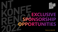![](_page_16_Picture_0.jpeg)

**\*All prices are without VAT.**

![](_page_16_Picture_2.jpeg)

![](_page_16_Picture_3.jpeg)

![](_page_16_Picture_4.jpeg)

![](_page_16_Picture_5.jpeg)

![](_page_16_Picture_6.jpeg)

![](_page_16_Picture_7.jpeg)

![](_page_16_Picture_8.jpeg)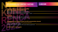#### Use of the title: "Partner of NTK Business Day" Content placement in NTK Business Day

Session / round table / interview at NTK Business Day 2 questions in the questionnaire at the end of the session (possibility of getting potential business opportunities - LEADS)

#### Promotion

Session promotion (NTK schedule, NTK social media) Telop with partner's content before the session

#### 1x publication of the desired content via NTK communication channels

(blog, webinar, case study, interview or other content by agreement) Publication of content at www.ntk.si Content promotion (NTK newsletter, NTK social media by agreement)

#### 1x NTK Full Fee for the speaker

![](_page_17_Picture_9.jpeg)

![](_page_17_Figure_11.jpeg)

### NTK BUSINESS DAY CONTENT PARTNER 5.000 EUR

**Join numerous business decision makers, managers and sales and marketing representatives from various fields in creating business trends of the future!**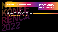Content placement at the NT Conference Session with business or technological content 55 minutes (45 session + 10 Q&A) 2 questions in the questionnaire at the end of the session (possibility of getting potential business opportunities - LEADS)

#### Session promotion in the NTK social media

1x NTK Full Fee for the speaker

2 sessions: 6.000 EUR 3 sessions: 8.000 EUR

## SESSION AT THE NT CONFERENCE 1 session: 4.000 EUR

**Co-create the conference content in a standalone session!**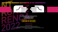# EXCLUSIVE BUSINESS GATHERING AT NT CONFERENCE

**Socializing with your business partners in a relaxed atmosphere on exclusive location** 

### 3.000 EUR (to 20 people) 5.000 EUR (21-50 people)

#### THE PRICE INCLUDES:

rental fee; welcome drink; 2 drinks per person (following drinks are payable at bar's pricelist); invitation to Exclusive business gathering with company logo (designed in advance); distribution of the invitation to a selected database of NTK attendees; barman, 2 hostesses for guests reception; different branding options.

![](_page_19_Figure_5.jpeg)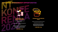# EXCLUSIVE SPONSORSHIP OPPORTUNITIES

#### SPONSOR OF NTK EVENING GATHERING

**NTK Evening gathering will be named after the sponsor** 

**Company logo on the NTK Evening gathering invitations** 

**Branding of the NTK Evening gathering location (Roll-up, beach flags, other promotional opportunities are open for discussion)** 

5.000 EUR / day

![](_page_20_Picture_6.jpeg)

#### SPONSOR OF THE PEER2PIR EVENT

**Peer2Pir event will be named after the sponsor** 

**Company logo on the beer coasters**

**Branding of the Peer2Pir event location (Roll-up, beach flags, other promotional opportunities are open for discussion)** 

#### 5.000 EUR / day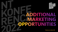![](_page_21_Picture_0.jpeg)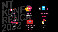5.000 EUR

![](_page_22_Picture_12.jpeg)

#### **COMPANY LOGO ON DIFFERENT POS MATERIALS**

Sponsor additionally pays for the production and branding

Sponsor additionally pays for the production and branding

![](_page_22_Picture_10.jpeg)

#### 5.000 EUR

![](_page_22_Picture_19.jpeg)

#### **SPONSOR OF THE CONFERENCE HALL**  Specific hall,

named after the sponsor

#### 3.000 EUR

**COMPANY LOGO ON CONFERENCE SHIRT** Sponsor additionally pays for the branding, logo is placed on the sleeve

Sponsor additionally pays for the production and branding

#### **ADDITIONAL INSERTION OF POS MATERIAL IN THE CONFERENCE BAGS**

![](_page_22_Picture_14.jpeg)

![](_page_22_Picture_15.jpeg)

**SMS INFORMING** Price for one SMS, sent to the NTK mobile number database

#### 1.000 EUR

#### **COMPANY LOGO ON CONFERENCE LANYARDS**

#### 5.000 EUR

![](_page_22_Picture_3.jpeg)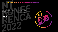# CREATING OF NEW BUSINESS OPPORTUNITIES

#### **ACTIVE COLLECTING OF BUSINESS CONTACTS AT THE CONFERENCE (NTcoin)**

A simple tool to additionally motivate the attendees to visit sponsors' stands. A well deliberated system for collecting your leads at the stand. Pride includes tool and software for program support.

# 500 EUR

![](_page_23_Picture_4.jpeg)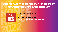# CHECK OUT THE IMPRESSIONS OF PAST NT CONFERENCES AND JOIN US!

You Tubel

**26th NT KONFERENCA, MAJ 2021 [https://www.youtube.com/watch?v=cPv0Jg9IwYE](https://www.youtube.com/watch?v=cPv0Jg9IwYE&t=5s)**

**25th NT KONFERENCA, MAJ 2020 [https://www.youtube.com/watch?v=xHu\\_wN2FN8](https://www.youtube.com/watch?v=jRTGdhmsDnU&t=4s)**